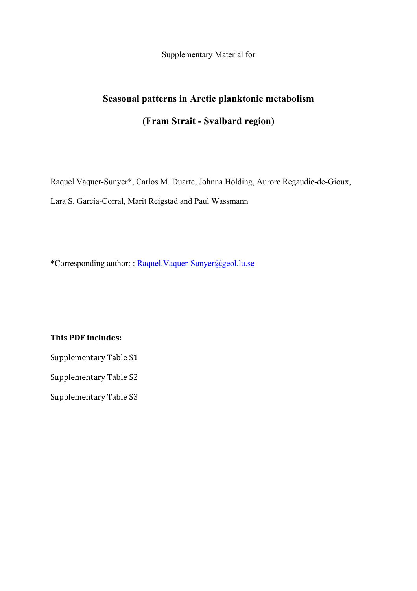Supplementary Material for

## **Seasonal patterns in Arctic planktonic metabolism (Fram Strait - Svalbard region)**

Raquel Vaquer-Sunyer\*, Carlos M. Duarte, Johnna Holding, Aurore Regaudie-de-Gioux, Lara S. García-Corral, Marit Reigstad and Paul Wassmann

\*Corresponding author: : Raquel.Vaquer-Sunyer@geol.lu.se

**This PDF includes:** 

Supplementary Table S1

Supplementary Table S2

Supplementary Table S3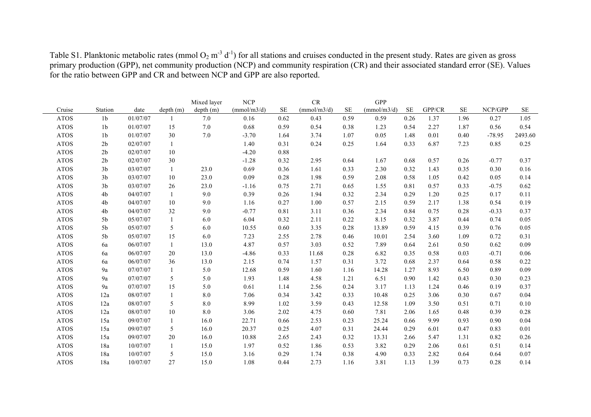|             |                |          |           | Mixed layer | NCP         |           | ${\cal CR}$ |          | <b>GPP</b>  |           |        |           |          |          |
|-------------|----------------|----------|-----------|-------------|-------------|-----------|-------------|----------|-------------|-----------|--------|-----------|----------|----------|
| Cruise      | Station        | date     | depth (m) | depth (m)   | (mmol/m3/d) | <b>SE</b> | (mmol/m3/d) | $\rm SE$ | (mmol/m3/d) | <b>SE</b> | GPP/CR | <b>SE</b> | NCP/GPP  | $\rm SE$ |
| <b>ATOS</b> | 1 <sub>b</sub> | 01/07/07 | 1         | $7.0\,$     | 0.16        | 0.62      | 0.43        | 0.59     | 0.59        | 0.26      | 1.37   | 1.96      | 0.27     | 1.05     |
| <b>ATOS</b> | 1 <sub>b</sub> | 01/07/07 | 15        | 7.0         | 0.68        | 0.59      | 0.54        | 0.38     | 1.23        | 0.54      | 2.27   | 1.87      | 0.56     | 0.54     |
| <b>ATOS</b> | 1 <sub>b</sub> | 01/07/07 | 30        | 7.0         | $-3.70$     | 1.64      | 3.74        | 1.07     | 0.05        | 1.48      | 0.01   | 0.40      | $-78.95$ | 2493.60  |
| <b>ATOS</b> | 2 <sub>b</sub> | 02/07/07 | 1         |             | 1.40        | 0.31      | 0.24        | 0.25     | 1.64        | 0.33      | 6.87   | 7.23      | 0.85     | 0.25     |
| <b>ATOS</b> | 2 <sub>b</sub> | 02/07/07 | 10        |             | $-4.20$     | 0.88      |             |          |             |           |        |           |          |          |
| <b>ATOS</b> | 2 <sub>b</sub> | 02/07/07 | 30        |             | $-1.28$     | 0.32      | 2.95        | 0.64     | 1.67        | 0.68      | 0.57   | 0.26      | $-0.77$  | 0.37     |
| <b>ATOS</b> | 3 <sub>b</sub> | 03/07/07 | 1         | 23.0        | 0.69        | 0.36      | 1.61        | 0.33     | 2.30        | 0.32      | 1.43   | 0.35      | 0.30     | 0.16     |
| <b>ATOS</b> | 3 <sub>b</sub> | 03/07/07 | 10        | 23.0        | 0.09        | 0.28      | 1.98        | 0.59     | 2.08        | 0.58      | 1.05   | 0.42      | 0.05     | 0.14     |
| <b>ATOS</b> | 3 <sub>b</sub> | 03/07/07 | 26        | 23.0        | $-1.16$     | 0.75      | 2.71        | 0.65     | 1.55        | 0.81      | 0.57   | 0.33      | $-0.75$  | 0.62     |
| <b>ATOS</b> | 4b             | 04/07/07 | 1         | 9.0         | 0.39        | 0.26      | 1.94        | 0.32     | 2.34        | 0.29      | 1.20   | 0.25      | 0.17     | 0.11     |
| <b>ATOS</b> | 4b             | 04/07/07 | $10\,$    | 9.0         | 1.16        | 0.27      | 1.00        | 0.57     | 2.15        | 0.59      | 2.17   | 1.38      | 0.54     | 0.19     |
| <b>ATOS</b> | 4b             | 04/07/07 | 32        | 9.0         | $-0.77$     | 0.81      | 3.11        | 0.36     | 2.34        | 0.84      | 0.75   | 0.28      | $-0.33$  | 0.37     |
| <b>ATOS</b> | 5b             | 05/07/07 | -1        | 6.0         | 6.04        | 0.32      | 2.11        | 0.22     | 8.15        | 0.32      | 3.87   | 0.44      | 0.74     | 0.05     |
| <b>ATOS</b> | $5\mathrm{b}$  | 05/07/07 | 5         | 6.0         | 10.55       | 0.60      | 3.35        | 0.28     | 13.89       | 0.59      | 4.15   | 0.39      | 0.76     | 0.05     |
| <b>ATOS</b> | 5 <sub>b</sub> | 05/07/07 | 15        | 6.0         | 7.23        | 2.55      | 2.78        | 0.46     | 10.01       | 2.54      | 3.60   | 1.09      | 0.72     | 0.31     |
| <b>ATOS</b> | 6a             | 06/07/07 | -1        | 13.0        | 4.87        | 0.57      | 3.03        | 0.52     | 7.89        | 0.64      | 2.61   | 0.50      | 0.62     | 0.09     |
| <b>ATOS</b> | 6a             | 06/07/07 | 20        | 13.0        | $-4.86$     | 0.33      | 11.68       | 0.28     | 6.82        | 0.35      | 0.58   | 0.03      | $-0.71$  | 0.06     |
| <b>ATOS</b> | 6a             | 06/07/07 | 36        | 13.0        | 2.15        | 0.74      | 1.57        | 0.31     | 3.72        | 0.68      | 2.37   | 0.64      | 0.58     | 0.22     |
| <b>ATOS</b> | 9a             | 07/07/07 | -1        | 5.0         | 12.68       | 0.59      | 1.60        | 1.16     | 14.28       | 1.27      | 8.93   | 6.50      | 0.89     | 0.09     |
| <b>ATOS</b> | 9a             | 07/07/07 | 5         | 5.0         | 1.93        | 1.48      | 4.58        | 1.21     | 6.51        | 0.90      | 1.42   | 0.43      | 0.30     | 0.23     |
| <b>ATOS</b> | 9a             | 07/07/07 | 15        | 5.0         | 0.61        | 1.14      | 2.56        | 0.24     | 3.17        | 1.13      | 1.24   | 0.46      | 0.19     | 0.37     |
| <b>ATOS</b> | 12a            | 08/07/07 | 1         | $8.0\,$     | 7.06        | 0.34      | 3.42        | 0.33     | 10.48       | 0.25      | 3.06   | 0.30      | 0.67     | 0.04     |
| <b>ATOS</b> | 12a            | 08/07/07 | 5         | $8.0\,$     | 8.99        | 1.02      | 3.59        | 0.43     | 12.58       | 1.09      | 3.50   | 0.51      | 0.71     | 0.10     |
| <b>ATOS</b> | 12a            | 08/07/07 | 10        | $8.0\,$     | 3.06        | 2.02      | 4.75        | 0.60     | 7.81        | 2.06      | 1.65   | 0.48      | 0.39     | 0.28     |
| <b>ATOS</b> | 15a            | 09/07/07 | 1         | 16.0        | 22.71       | 0.66      | 2.53        | 0.23     | 25.24       | 0.66      | 9.99   | 0.93      | 0.90     | 0.04     |
| <b>ATOS</b> | 15a            | 09/07/07 | 5         | 16.0        | 20.37       | 0.25      | 4.07        | 0.31     | 24.44       | 0.29      | 6.01   | 0.47      | 0.83     | 0.01     |
| <b>ATOS</b> | 15a            | 09/07/07 | 20        | 16.0        | 10.88       | 2.65      | 2.43        | 0.32     | 13.31       | 2.66      | 5.47   | 1.31      | 0.82     | 0.26     |
| <b>ATOS</b> | 18a            | 10/07/07 | 1         | 15.0        | 1.97        | 0.52      | 1.86        | 0.53     | 3.82        | 0.29      | 2.06   | 0.61      | 0.51     | 0.14     |
| <b>ATOS</b> | 18a            | 10/07/07 | 5         | 15.0        | 3.16        | 0.29      | 1.74        | 0.38     | 4.90        | 0.33      | 2.82   | 0.64      | 0.64     | $0.07\,$ |
| <b>ATOS</b> | 18a            | 10/07/07 | 27        | 15.0        | 1.08        | 0.44      | 2.73        | 1.16     | 3.81        | 1.13      | 1.39   | 0.73      | 0.28     | 0.14     |

Table S1. Planktonic metabolic rates (mmol  $O_2$  m<sup>-3</sup> d<sup>-1</sup>) for all stations and cruises conducted in the present study. Rates are given as gross primary production (GPP), net community production (NCP) and community respiration (CR) and their associated standard error (SE). Values for the ratio between GPP and CR and between NCP and GPP are also reported.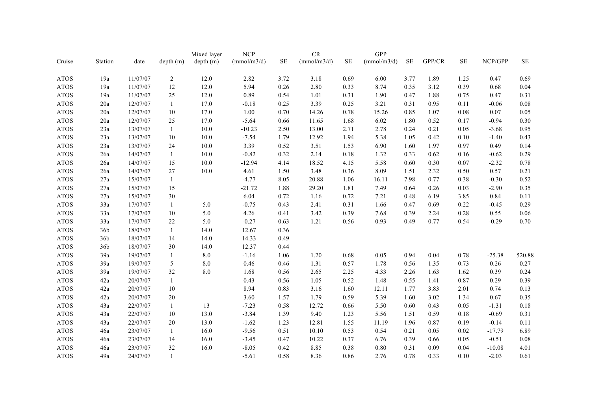|             |                 |          |                | Mixed layer | <b>NCP</b>  |           | CR          |          | GPP         |           |        |          |          |          |
|-------------|-----------------|----------|----------------|-------------|-------------|-----------|-------------|----------|-------------|-----------|--------|----------|----------|----------|
| Cruise      | Station         | date     | depth(m)       | depth (m)   | (mmol/m3/d) | <b>SE</b> | (mmol/m3/d) | $\rm SE$ | (mmol/m3/d) | <b>SE</b> | GPP/CR | $\rm SE$ | NCP/GPP  | $\rm SE$ |
|             |                 |          |                |             |             |           |             |          |             |           |        |          |          |          |
| <b>ATOS</b> | 19a             | 11/07/07 | $\overline{2}$ | 12.0        | 2.82        | 3.72      | 3.18        | 0.69     | 6.00        | 3.77      | 1.89   | 1.25     | 0.47     | 0.69     |
| <b>ATOS</b> | 19a             | 11/07/07 | 12             | 12.0        | 5.94        | 0.26      | 2.80        | 0.33     | 8.74        | 0.35      | 3.12   | 0.39     | 0.68     | 0.04     |
| <b>ATOS</b> | 19a             | 11/07/07 | 25             | 12.0        | 0.89        | 0.54      | 1.01        | 0.31     | 1.90        | 0.47      | 1.88   | 0.75     | 0.47     | 0.31     |
| <b>ATOS</b> | 20a             | 12/07/07 | $\mathbf{1}$   | 17.0        | $-0.18$     | 0.25      | 3.39        | 0.25     | 3.21        | 0.31      | 0.95   | 0.11     | $-0.06$  | 0.08     |
| <b>ATOS</b> | 20a             | 12/07/07 | 10             | 17.0        | $1.00\,$    | 0.70      | 14.26       | 0.78     | 15.26       | 0.85      | 1.07   | 0.08     | $0.07\,$ | 0.05     |
| <b>ATOS</b> | 20a             | 12/07/07 | 25             | 17.0        | $-5.64$     | 0.66      | 11.65       | 1.68     | 6.02        | 1.80      | 0.52   | 0.17     | $-0.94$  | 0.30     |
| <b>ATOS</b> | 23a             | 13/07/07 | $\mathbf{1}$   | 10.0        | $-10.23$    | 2.50      | 13.00       | 2.71     | 2.78        | 0.24      | 0.21   | 0.05     | $-3.68$  | 0.95     |
| <b>ATOS</b> | 23a             | 13/07/07 | 10             | 10.0        | $-7.54$     | 1.79      | 12.92       | 1.94     | 5.38        | 1.05      | 0.42   | 0.10     | $-1.40$  | 0.43     |
| <b>ATOS</b> | 23a             | 13/07/07 | 24             | 10.0        | 3.39        | 0.52      | 3.51        | 1.53     | 6.90        | 1.60      | 1.97   | 0.97     | 0.49     | 0.14     |
| $\rm ATOS$  | 26a             | 14/07/07 | $\mathbf{1}$   | $10.0\,$    | $-0.82$     | 0.32      | 2.14        | 0.18     | 1.32        | 0.33      | 0.62   | 0.16     | $-0.62$  | 0.29     |
| <b>ATOS</b> | 26a             | 14/07/07 | 15             | 10.0        | $-12.94$    | 4.14      | 18.52       | 4.15     | 5.58        | 0.60      | 0.30   | 0.07     | $-2.32$  | 0.78     |
| <b>ATOS</b> | 26a             | 14/07/07 | 27             | $10.0$      | 4.61        | 1.50      | 3.48        | 0.36     | 8.09        | 1.51      | 2.32   | 0.50     | 0.57     | 0.21     |
| <b>ATOS</b> | 27a             | 15/07/07 | 1              |             | $-4.77$     | 8.05      | 20.88       | 1.06     | 16.11       | 7.98      | 0.77   | 0.38     | $-0.30$  | 0.52     |
| <b>ATOS</b> | 27a             | 15/07/07 | 15             |             | $-21.72$    | 1.88      | 29.20       | 1.81     | 7.49        | 0.64      | 0.26   | 0.03     | $-2.90$  | 0.35     |
| <b>ATOS</b> | 27a             | 15/07/07 | $30\,$         |             | 6.04        | 0.72      | 1.16        | 0.72     | 7.21        | 0.48      | 6.19   | 3.85     | 0.84     | 0.11     |
| <b>ATOS</b> | 33a             | 17/07/07 | 1              | 5.0         | $-0.75$     | 0.43      | 2.41        | 0.31     | 1.66        | 0.47      | 0.69   | 0.22     | $-0.45$  | 0.29     |
| <b>ATOS</b> | 33a             | 17/07/07 | 10             | 5.0         | 4.26        | 0.41      | 3.42        | 0.39     | 7.68        | 0.39      | 2.24   | 0.28     | 0.55     | 0.06     |
| <b>ATOS</b> | 33a             | 17/07/07 | $22\,$         | 5.0         | $-0.27$     | 0.63      | 1.21        | 0.56     | 0.93        | 0.49      | 0.77   | 0.54     | $-0.29$  | 0.70     |
| <b>ATOS</b> | 36b             | 18/07/07 | $\mathbf{1}$   | 14.0        | 12.67       | 0.36      |             |          |             |           |        |          |          |          |
| <b>ATOS</b> | 36b             | 18/07/07 | 14             | 14.0        | 14.33       | 0.49      |             |          |             |           |        |          |          |          |
| <b>ATOS</b> | 36 <sub>b</sub> | 18/07/07 | 30             | 14.0        | 12.37       | 0.44      |             |          |             |           |        |          |          |          |
| <b>ATOS</b> | 39a             | 19/07/07 | 1              | 8.0         | $-1.16$     | 1.06      | 1.20        | 0.68     | 0.05        | 0.94      | 0.04   | 0.78     | $-25.38$ | 520.88   |
| <b>ATOS</b> | 39a             | 19/07/07 | 5              | 8.0         | 0.46        | 0.46      | 1.31        | 0.57     | 1.78        | 0.56      | 1.35   | 0.73     | 0.26     | 0.27     |
| <b>ATOS</b> | 39a             | 19/07/07 | $32\,$         | 8.0         | 1.68        | 0.56      | 2.65        | 2.25     | 4.33        | 2.26      | 1.63   | 1.62     | 0.39     | 0.24     |
| <b>ATOS</b> | 42a             | 20/07/07 | 1              |             | 0.43        | 0.56      | 1.05        | 0.52     | 1.48        | 0.55      | 1.41   | 0.87     | 0.29     | 0.39     |
| $\rm ATOS$  | 42a             | 20/07/07 | $10\,$         |             | 8.94        | 0.83      | 3.16        | 1.60     | 12.11       | 1.77      | 3.83   | 2.01     | 0.74     | 0.13     |
| <b>ATOS</b> | 42a             | 20/07/07 | 20             |             | 3.60        | 1.57      | 1.79        | 0.59     | 5.39        | 1.60      | 3.02   | 1.34     | 0.67     | 0.35     |
| <b>ATOS</b> | 43a             | 22/07/07 | 1              | 13          | $-7.23$     | 0.58      | 12.72       | 0.66     | 5.50        | 0.60      | 0.43   | 0.05     | $-1.31$  | 0.18     |
| <b>ATOS</b> | 43a             | 22/07/07 | 10             | 13.0        | $-3.84$     | 1.39      | 9.40        | 1.23     | 5.56        | 1.51      | 0.59   | 0.18     | $-0.69$  | 0.31     |
| <b>ATOS</b> | 43a             | 22/07/07 | 20             | 13.0        | $-1.62$     | 1.23      | 12.81       | 1.55     | 11.19       | 1.96      | 0.87   | 0.19     | $-0.14$  | 0.11     |
| <b>ATOS</b> | 46a             | 23/07/07 | 1              | 16.0        | $-9.56$     | 0.51      | 10.10       | 0.53     | 0.54        | 0.21      | 0.05   | 0.02     | $-17.79$ | 6.89     |
| <b>ATOS</b> | 46a             | 23/07/07 | 14             | 16.0        | $-3.45$     | 0.47      | 10.22       | 0.37     | 6.76        | 0.39      | 0.66   | 0.05     | $-0.51$  | $0.08\,$ |
| <b>ATOS</b> | 46a             | 23/07/07 | 32             | 16.0        | $-8.05$     | 0.42      | 8.85        | 0.38     | 0.80        | 0.31      | 0.09   | 0.04     | $-10.08$ | 4.01     |
| <b>ATOS</b> | 49a             | 24/07/07 | $\mathbf{1}$   |             | $-5.61$     | 0.58      | 8.36        | 0.86     | 2.76        | 0.78      | 0.33   | 0.10     | $-2.03$  | 0.61     |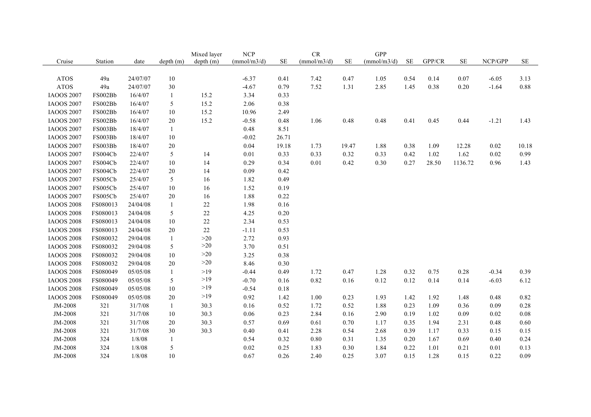|                   |          |          |              | Mixed layer | <b>NCP</b>  |          | ${\cal CR}$ |          | <b>GPP</b>  |          |        |          |         |          |
|-------------------|----------|----------|--------------|-------------|-------------|----------|-------------|----------|-------------|----------|--------|----------|---------|----------|
| Cruise            | Station  | date     | depth(m)     | depth (m)   | (mmol/m3/d) | $\rm SE$ | (mmol/m3/d) | $\rm SE$ | (mmol/m3/d) | $\rm SE$ | GPP/CR | $\rm SE$ | NCP/GPP | $\rm SE$ |
|                   |          |          |              |             |             |          |             |          |             |          |        |          |         |          |
| <b>ATOS</b>       | 49a      | 24/07/07 | $10\,$       |             | $-6.37$     | 0.41     | 7.42        | 0.47     | 1.05        | 0.54     | 0.14   | 0.07     | $-6.05$ | 3.13     |
| <b>ATOS</b>       | 49a      | 24/07/07 | 30           |             | $-4.67$     | 0.79     | 7.52        | 1.31     | 2.85        | 1.45     | 0.38   | $0.20\,$ | $-1.64$ | 0.88     |
| <b>IAOOS 2007</b> | FS002Bb  | 16/4/07  | $\mathbf{1}$ | 15.2        | 3.34        | 0.33     |             |          |             |          |        |          |         |          |
| <b>IAOOS 2007</b> | FS002Bb  | 16/4/07  | 5            | 15.2        | 2.06        | 0.38     |             |          |             |          |        |          |         |          |
| <b>IAOOS 2007</b> | FS002Bb  | 16/4/07  | $10\,$       | 15.2        | 10.96       | 2.49     |             |          |             |          |        |          |         |          |
| <b>IAOOS 2007</b> | FS002Bb  | 16/4/07  | $20\,$       | 15.2        | $-0.58$     | 0.48     | 1.06        | 0.48     | 0.48        | 0.41     | 0.45   | 0.44     | $-1.21$ | 1.43     |
| <b>IAOOS 2007</b> | FS003Bb  | 18/4/07  | $\mathbf{1}$ |             | 0.48        | 8.51     |             |          |             |          |        |          |         |          |
| <b>IAOOS 2007</b> | FS003Bb  | 18/4/07  | $10\,$       |             | $-0.02$     | 26.71    |             |          |             |          |        |          |         |          |
| <b>IAOOS 2007</b> | FS003Bb  | 18/4/07  | $20\,$       |             | 0.04        | 19.18    | 1.73        | 19.47    | 1.88        | 0.38     | 1.09   | 12.28    | 0.02    | 10.18    |
| <b>IAOOS 2007</b> | FS004Cb  | 22/4/07  | 5            | 14          | $0.01\,$    | 0.33     | 0.33        | 0.32     | 0.33        | 0.42     | 1.02   | 1.62     | 0.02    | 0.99     |
| <b>IAOOS 2007</b> | FS004Cb  | 22/4/07  | 10           | 14          | 0.29        | 0.34     | 0.01        | 0.42     | 0.30        | 0.27     | 28.50  | 1136.72  | 0.96    | 1.43     |
| <b>IAOOS 2007</b> | FS004Cb  | 22/4/07  | $20\,$       | 14          | 0.09        | 0.42     |             |          |             |          |        |          |         |          |
| <b>IAOOS 2007</b> | FS005Cb  | 25/4/07  | 5            | 16          | 1.82        | 0.49     |             |          |             |          |        |          |         |          |
| <b>IAOOS 2007</b> | FS005Cb  | 25/4/07  | $10\,$       | 16          | 1.52        | 0.19     |             |          |             |          |        |          |         |          |
| <b>IAOOS 2007</b> | FS005Cb  | 25/4/07  | 20           | 16          | 1.88        | 0.22     |             |          |             |          |        |          |         |          |
| <b>IAOOS 2008</b> | FS080013 | 24/04/08 | $\mathbf{1}$ | $22\,$      | 1.98        | 0.16     |             |          |             |          |        |          |         |          |
| <b>IAOOS 2008</b> | FS080013 | 24/04/08 | 5            | $22\,$      | 4.25        | 0.20     |             |          |             |          |        |          |         |          |
| <b>IAOOS 2008</b> | FS080013 | 24/04/08 | 10           | $22\,$      | 2.34        | 0.53     |             |          |             |          |        |          |         |          |
| <b>IAOOS 2008</b> | FS080013 | 24/04/08 | 20           | $22\,$      | $-1.11$     | 0.53     |             |          |             |          |        |          |         |          |
| <b>IAOOS 2008</b> | FS080032 | 29/04/08 | $\mathbf{1}$ | $>20$       | 2.72        | 0.93     |             |          |             |          |        |          |         |          |
| <b>IAOOS 2008</b> | FS080032 | 29/04/08 | 5            | >20         | 3.70        | 0.51     |             |          |             |          |        |          |         |          |
| <b>IAOOS 2008</b> | FS080032 | 29/04/08 | $10\,$       | $>20$       | 3.25        | 0.38     |             |          |             |          |        |          |         |          |
| <b>IAOOS 2008</b> | FS080032 | 29/04/08 | $20\,$       | >20         | 8.46        | 0.30     |             |          |             |          |        |          |         |          |
| <b>IAOOS 2008</b> | FS080049 | 05/05/08 | $\mathbf{1}$ | $>19$       | $-0.44$     | 0.49     | 1.72        | 0.47     | 1.28        | 0.32     | 0.75   | 0.28     | $-0.34$ | 0.39     |
| <b>IAOOS 2008</b> | FS080049 | 05/05/08 | 5            | >19         | $-0.70$     | 0.16     | 0.82        | 0.16     | 0.12        | 0.12     | 0.14   | 0.14     | $-6.03$ | 6.12     |
| <b>IAOOS 2008</b> | FS080049 | 05/05/08 | 10           | $>19$       | $-0.54$     | 0.18     |             |          |             |          |        |          |         |          |
| <b>IAOOS 2008</b> | FS080049 | 05/05/08 | $20\,$       | >19         | 0.92        | 1.42     | 1.00        | 0.23     | 1.93        | 1.42     | 1.92   | 1.48     | 0.48    | 0.82     |
| JM-2008           | 321      | 31/7/08  | $\mathbf{1}$ | 30.3        | 0.16        | 0.52     | 1.72        | 0.52     | 1.88        | 0.23     | 1.09   | 0.36     | 0.09    | 0.28     |
| JM-2008           | 321      | 31/7/08  | 10           | 30.3        | 0.06        | 0.23     | 2.84        | 0.16     | 2.90        | 0.19     | 1.02   | 0.09     | 0.02    | 0.08     |
| JM-2008           | 321      | 31/7/08  | $20\,$       | 30.3        | 0.57        | 0.69     | 0.61        | 0.70     | 1.17        | 0.35     | 1.94   | 2.31     | 0.48    | 0.60     |
| JM-2008           | 321      | 31/7/08  | 30           | 30.3        | 0.40        | 0.41     | 2.28        | 0.54     | 2.68        | 0.39     | 1.17   | 0.33     | 0.15    | 0.15     |
| JM-2008           | 324      | 1/8/08   | $\mathbf{1}$ |             | 0.54        | 0.32     | $0.80\,$    | 0.31     | 1.35        | 0.20     | 1.67   | 0.69     | 0.40    | 0.24     |
| JM-2008           | 324      | 1/8/08   | 5            |             | 0.02        | 0.25     | 1.83        | 0.30     | 1.84        | 0.22     | 1.01   | 0.21     | 0.01    | 0.13     |
| JM-2008           | 324      | 1/8/08   | 10           |             | 0.67        | 0.26     | 2.40        | 0.25     | 3.07        | 0.15     | 1.28   | 0.15     | 0.22    | 0.09     |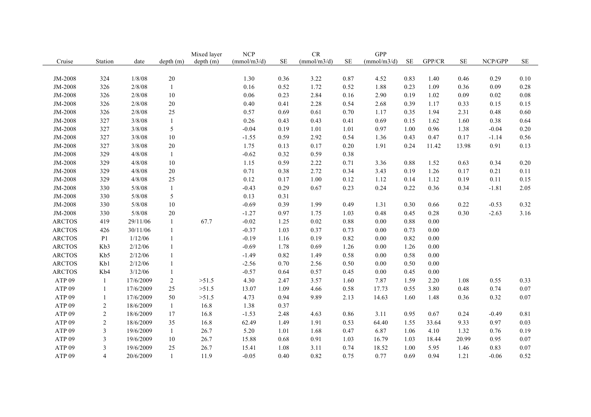|                   |                |           |              | Mixed layer | <b>NCP</b>  |          | ${\cal CR}$ |          | <b>GPP</b>  |          |          |          |          |          |
|-------------------|----------------|-----------|--------------|-------------|-------------|----------|-------------|----------|-------------|----------|----------|----------|----------|----------|
| Cruise            | Station        | date      | depth(m)     | depth (m)   | (mmol/m3/d) | $\rm SE$ | (mmol/m3/d) | $\rm SE$ | (mmol/m3/d) | $\rm SE$ | GPP/CR   | $\rm SE$ | NCP/GPP  | $\rm SE$ |
|                   |                |           |              |             |             |          |             |          |             |          |          |          |          |          |
| JM-2008           | 324            | 1/8/08    | $20\,$       |             | 1.30        | 0.36     | 3.22        | 0.87     | 4.52        | 0.83     | 1.40     | 0.46     | 0.29     | $0.10\,$ |
| JM-2008           | 326            | 2/8/08    | $\mathbf{1}$ |             | 0.16        | 0.52     | 1.72        | 0.52     | 1.88        | 0.23     | 1.09     | 0.36     | 0.09     | 0.28     |
| JM-2008           | 326            | 2/8/08    | $10\,$       |             | 0.06        | 0.23     | 2.84        | $0.16\,$ | 2.90        | 0.19     | 1.02     | 0.09     | $0.02\,$ | $0.08\,$ |
| JM-2008           | 326            | 2/8/08    | $20\,$       |             | 0.40        | 0.41     | 2.28        | 0.54     | 2.68        | 0.39     | 1.17     | 0.33     | 0.15     | 0.15     |
| JM-2008           | 326            | 2/8/08    | $25\,$       |             | 0.57        | 0.69     | 0.61        | 0.70     | 1.17        | 0.35     | 1.94     | 2.31     | 0.48     | 0.60     |
| JM-2008           | 327            | 3/8/08    | $\mathbf{1}$ |             | 0.26        | 0.43     | 0.43        | 0.41     | 0.69        | 0.15     | 1.62     | 1.60     | 0.38     | 0.64     |
| JM-2008           | 327            | 3/8/08    | 5            |             | $-0.04$     | 0.19     | 1.01        | 1.01     | 0.97        | 1.00     | 0.96     | 1.38     | $-0.04$  | 0.20     |
| JM-2008           | 327            | 3/8/08    | $10\,$       |             | $-1.55$     | 0.59     | 2.92        | 0.54     | 1.36        | 0.43     | 0.47     | 0.17     | $-1.14$  | 0.56     |
| JM-2008           | 327            | 3/8/08    | $20\,$       |             | 1.75        | 0.13     | 0.17        | 0.20     | 1.91        | 0.24     | 11.42    | 13.98    | 0.91     | 0.13     |
| JM-2008           | 329            | 4/8/08    | $\mathbf{1}$ |             | $-0.62$     | 0.32     | 0.59        | 0.38     |             |          |          |          |          |          |
| JM-2008           | 329            | 4/8/08    | 10           |             | 1.15        | 0.59     | 2.22        | 0.71     | 3.36        | 0.88     | 1.52     | 0.63     | 0.34     | 0.20     |
| JM-2008           | 329            | 4/8/08    | $20\,$       |             | 0.71        | 0.38     | 2.72        | 0.34     | 3.43        | 0.19     | 1.26     | 0.17     | 0.21     | 0.11     |
| JM-2008           | 329            | 4/8/08    | 25           |             | 0.12        | 0.17     | 1.00        | 0.12     | 1.12        | 0.14     | 1.12     | 0.19     | 0.11     | 0.15     |
| JM-2008           | 330            | 5/8/08    | $\mathbf{1}$ |             | $-0.43$     | 0.29     | 0.67        | 0.23     | 0.24        | 0.22     | 0.36     | 0.34     | $-1.81$  | 2.05     |
| JM-2008           | 330            | 5/8/08    | 5            |             | 0.13        | 0.31     |             |          |             |          |          |          |          |          |
| JM-2008           | 330            | 5/8/08    | $10\,$       |             | $-0.69$     | 0.39     | 1.99        | 0.49     | 1.31        | 0.30     | 0.66     | 0.22     | $-0.53$  | 0.32     |
| JM-2008           | 330            | 5/8/08    | 20           |             | $-1.27$     | 0.97     | 1.75        | 1.03     | 0.48        | 0.45     | 0.28     | 0.30     | $-2.63$  | 3.16     |
| <b>ARCTOS</b>     | 419            | 29/11/06  | $\mathbf{1}$ | 67.7        | $-0.02$     | 1.25     | 0.02        | 0.88     | 0.00        | 0.88     | 0.00     |          |          |          |
| <b>ARCTOS</b>     | 426            | 30/11/06  | $\mathbf{1}$ |             | $-0.37$     | 1.03     | 0.37        | 0.73     | 0.00        | 0.73     | 0.00     |          |          |          |
| <b>ARCTOS</b>     | P <sub>1</sub> | 1/12/06   | $\mathbf{1}$ |             | $-0.19$     | 1.16     | 0.19        | 0.82     | 0.00        | 0.82     | $0.00\,$ |          |          |          |
| <b>ARCTOS</b>     | Kb3            | 2/12/06   | $\mathbf{1}$ |             | $-0.69$     | 1.78     | 0.69        | 1.26     | 0.00        | 1.26     | 0.00     |          |          |          |
| <b>ARCTOS</b>     | Kb5            | 2/12/06   | $\mathbf{1}$ |             | $-1.49$     | 0.82     | 1.49        | 0.58     | 0.00        | 0.58     | 0.00     |          |          |          |
| <b>ARCTOS</b>     | Kb1            | 2/12/06   | $\mathbf{1}$ |             | $-2.56$     | 0.70     | 2.56        | 0.50     | 0.00        | 0.50     | 0.00     |          |          |          |
| <b>ARCTOS</b>     | Kb4            | 3/12/06   | 1            |             | $-0.57$     | 0.64     | 0.57        | 0.45     | 0.00        | 0.45     | $0.00\,$ |          |          |          |
| ATP <sub>09</sub> | 1              | 17/6/2009 | 2            | >51.5       | 4.30        | 2.47     | 3.57        | 1.60     | 7.87        | 1.59     | 2.20     | 1.08     | 0.55     | 0.33     |
| ATP <sub>09</sub> | 1              | 17/6/2009 | 25           | >51.5       | 13.07       | 1.09     | 4.66        | 0.58     | 17.73       | 0.55     | 3.80     | 0.48     | 0.74     | 0.07     |
| ATP <sub>09</sub> | -1             | 17/6/2009 | 50           | >51.5       | 4.73        | 0.94     | 9.89        | 2.13     | 14.63       | 1.60     | 1.48     | 0.36     | 0.32     | 0.07     |
| ATP <sub>09</sub> | $\overline{2}$ | 18/6/2009 | $\mathbf{1}$ | 16.8        | 1.38        | 0.37     |             |          |             |          |          |          |          |          |
| ATP <sub>09</sub> | $\overline{2}$ | 18/6/2009 | 17           | 16.8        | $-1.53$     | 2.48     | 4.63        | 0.86     | 3.11        | 0.95     | 0.67     | 0.24     | $-0.49$  | 0.81     |
| ATP <sub>09</sub> | $\overline{2}$ | 18/6/2009 | 35           | 16.8        | 62.49       | 1.49     | 1.91        | 0.53     | 64.40       | 1.55     | 33.64    | 9.33     | 0.97     | 0.03     |
| ATP <sub>09</sub> | $\mathfrak{Z}$ | 19/6/2009 | $\mathbf{1}$ | 26.7        | 5.20        | 1.01     | 1.68        | 0.47     | 6.87        | 1.06     | 4.10     | 1.32     | 0.76     | 0.19     |
| ATP <sub>09</sub> | 3              | 19/6/2009 | 10           | 26.7        | 15.88       | 0.68     | 0.91        | 1.03     | 16.79       | 1.03     | 18.44    | 20.99    | 0.95     | 0.07     |
| ATP <sub>09</sub> | $\overline{3}$ | 19/6/2009 | 25           | 26.7        | 15.41       | 1.08     | 3.11        | 0.74     | 18.52       | 1.00     | 5.95     | 1.46     | 0.83     | 0.07     |
| ATP <sub>09</sub> | $\overline{4}$ | 20/6/2009 | $\mathbf{1}$ | 11.9        | $-0.05$     | 0.40     | 0.82        | 0.75     | 0.77        | 0.69     | 0.94     | 1.21     | $-0.06$  | 0.52     |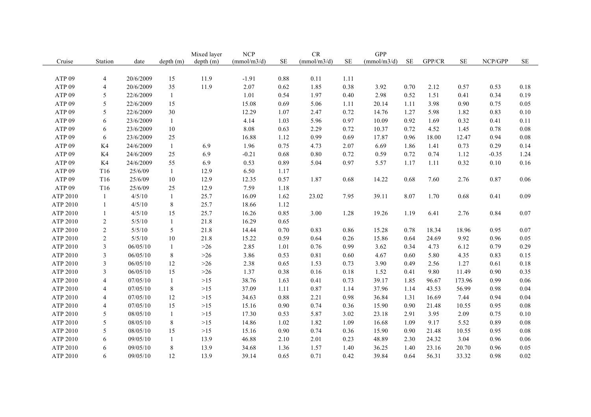|                   |                |           |              | Mixed layer | <b>NCP</b>  |          | CR          |           | <b>GPP</b>  |           |        |          |          |          |
|-------------------|----------------|-----------|--------------|-------------|-------------|----------|-------------|-----------|-------------|-----------|--------|----------|----------|----------|
| Cruise            | Station        | date      | depth(m)     | depth (m)   | (mmol/m3/d) | $\rm SE$ | (mmol/m3/d) | <b>SE</b> | (mmol/m3/d) | <b>SE</b> | GPP/CR | $\rm SE$ | NCP/GPP  | $\rm SE$ |
|                   |                |           |              |             |             |          |             |           |             |           |        |          |          |          |
| ATP <sub>09</sub> | 4              | 20/6/2009 | 15           | 11.9        | $-1.91$     | 0.88     | 0.11        | 1.11      |             |           |        |          |          |          |
| ATP <sub>09</sub> | $\overline{4}$ | 20/6/2009 | 35           | 11.9        | 2.07        | 0.62     | 1.85        | 0.38      | 3.92        | 0.70      | 2.12   | 0.57     | 0.53     | 0.18     |
| ATP <sub>09</sub> | 5              | 22/6/2009 | $\mathbf{1}$ |             | 1.01        | 0.54     | 1.97        | 0.40      | 2.98        | 0.52      | 1.51   | 0.41     | 0.34     | 0.19     |
| ATP <sub>09</sub> | 5              | 22/6/2009 | 15           |             | 15.08       | 0.69     | 5.06        | 1.11      | 20.14       | 1.11      | 3.98   | 0.90     | 0.75     | 0.05     |
| ATP <sub>09</sub> | 5              | 22/6/2009 | 30           |             | 12.29       | 1.07     | 2.47        | 0.72      | 14.76       | 1.27      | 5.98   | 1.82     | 0.83     | 0.10     |
| ATP <sub>09</sub> | 6              | 23/6/2009 | $\mathbf{1}$ |             | 4.14        | 1.03     | 5.96        | 0.97      | 10.09       | 0.92      | 1.69   | 0.32     | 0.41     | 0.11     |
| ATP <sub>09</sub> | 6              | 23/6/2009 | 10           |             | 8.08        | 0.63     | 2.29        | 0.72      | 10.37       | 0.72      | 4.52   | 1.45     | 0.78     | $0.08\,$ |
| ATP <sub>09</sub> | 6              | 23/6/2009 | 25           |             | 16.88       | 1.12     | 0.99        | 0.69      | 17.87       | 0.96      | 18.00  | 12.47    | 0.94     | 0.08     |
| ATP <sub>09</sub> | K4             | 24/6/2009 | 1            | 6.9         | 1.96        | 0.75     | 4.73        | 2.07      | 6.69        | 1.86      | 1.41   | 0.73     | 0.29     | 0.14     |
| ATP <sub>09</sub> | K4             | 24/6/2009 | 25           | 6.9         | $-0.21$     | 0.68     | $0.80\,$    | 0.72      | 0.59        | 0.72      | 0.74   | 1.12     | $-0.35$  | 1.24     |
| ATP <sub>09</sub> | K4             | 24/6/2009 | 55           | 6.9         | 0.53        | 0.89     | 5.04        | 0.97      | 5.57        | 1.17      | 1.11   | 0.32     | $0.10\,$ | 0.16     |
| ATP <sub>09</sub> | T16            | 25/6/09   | $\mathbf{1}$ | 12.9        | 6.50        | 1.17     |             |           |             |           |        |          |          |          |
| ATP <sub>09</sub> | T16            | 25/6/09   | 10           | 12.9        | 12.35       | 0.57     | 1.87        | 0.68      | 14.22       | 0.68      | 7.60   | 2.76     | 0.87     | 0.06     |
| ATP <sub>09</sub> | T16            | 25/6/09   | 25           | 12.9        | 7.59        | 1.18     |             |           |             |           |        |          |          |          |
| ATP 2010          | 1              | 4/5/10    | $\mathbf{1}$ | 25.7        | 16.09       | 1.62     | 23.02       | 7.95      | 39.11       | 8.07      | 1.70   | 0.68     | 0.41     | 0.09     |
| ATP 2010          | $\mathbf{1}$   | 4/5/10    | $8\,$        | 25.7        | 18.66       | 1.12     |             |           |             |           |        |          |          |          |
| ATP 2010          | $\mathbf{1}$   | 4/5/10    | 15           | 25.7        | 16.26       | 0.85     | 3.00        | 1.28      | 19.26       | 1.19      | 6.41   | 2.76     | 0.84     | 0.07     |
| ATP 2010          | $\overline{2}$ | 5/5/10    | $\mathbf{1}$ | 21.8        | 16.29       | 0.65     |             |           |             |           |        |          |          |          |
| ATP 2010          | $\overline{2}$ | 5/5/10    | 5            | 21.8        | 14.44       | 0.70     | 0.83        | 0.86      | 15.28       | 0.78      | 18.34  | 18.96    | 0.95     | 0.07     |
| ATP 2010          | $\overline{c}$ | 5/5/10    | 10           | 21.8        | 15.22       | 0.59     | 0.64        | 0.26      | 15.86       | 0.64      | 24.69  | 9.92     | 0.96     | 0.05     |
| ATP 2010          | 3              | 06/05/10  | $\mathbf{1}$ | $>26$       | 2.85        | 1.01     | 0.76        | 0.99      | 3.62        | 0.34      | 4.73   | 6.12     | 0.79     | 0.29     |
| ATP 2010          | 3              | 06/05/10  | $8\,$        | $>26$       | 3.86        | 0.53     | 0.81        | 0.60      | 4.67        | 0.60      | 5.80   | 4.35     | 0.83     | 0.15     |
| ATP 2010          | 3              | 06/05/10  | 12           | $>26$       | 2.38        | 0.65     | 1.53        | 0.73      | 3.90        | 0.49      | 2.56   | 1.27     | 0.61     | 0.18     |
| ATP 2010          | 3              | 06/05/10  | 15           | $>26$       | 1.37        | 0.38     | 0.16        | 0.18      | 1.52        | 0.41      | 9.80   | 11.49    | 0.90     | 0.35     |
| ATP 2010          | $\overline{4}$ | 07/05/10  | $\mathbf{1}$ | $>15$       | 38.76       | 1.63     | 0.41        | 0.73      | 39.17       | 1.85      | 96.67  | 173.96   | 0.99     | 0.06     |
| ATP 2010          | 4              | 07/05/10  | $8\,$        | $>15$       | 37.09       | 1.11     | 0.87        | 1.14      | 37.96       | 1.14      | 43.53  | 56.99    | 0.98     | 0.04     |
| ATP 2010          | 4              | 07/05/10  | 12           | $>15$       | 34.63       | 0.88     | 2.21        | 0.98      | 36.84       | 1.31      | 16.69  | 7.44     | 0.94     | 0.04     |
| ATP 2010          | 4              | 07/05/10  | 15           | $>15$       | 15.16       | 0.90     | 0.74        | 0.36      | 15.90       | 0.90      | 21.48  | 10.55    | 0.95     | 0.08     |
| ATP 2010          | 5              | 08/05/10  | $\mathbf{1}$ | $>15$       | 17.30       | 0.53     | 5.87        | 3.02      | 23.18       | 2.91      | 3.95   | 2.09     | 0.75     | 0.10     |
| ATP 2010          | 5              | 08/05/10  | $8\,$        | $>15$       | 14.86       | 1.02     | 1.82        | 1.09      | 16.68       | 1.09      | 9.17   | 5.52     | 0.89     | 0.08     |
| ATP 2010          | 5              | 08/05/10  | 15           | $>15$       | 15.16       | 0.90     | 0.74        | 0.36      | 15.90       | 0.90      | 21.48  | 10.55    | 0.95     | 0.08     |
| ATP 2010          | 6              | 09/05/10  | $\mathbf{1}$ | 13.9        | 46.88       | 2.10     | 2.01        | 0.23      | 48.89       | 2.30      | 24.32  | 3.04     | 0.96     | 0.06     |
| ATP 2010          | 6              | 09/05/10  | 8            | 13.9        | 34.68       | 1.36     | 1.57        | 1.40      | 36.25       | 1.40      | 23.16  | 20.70    | 0.96     | 0.05     |
| ATP 2010          | 6              | 09/05/10  | 12           | 13.9        | 39.14       | 0.65     | 0.71        | 0.42      | 39.84       | 0.64      | 56.31  | 33.32    | 0.98     | $0.02\,$ |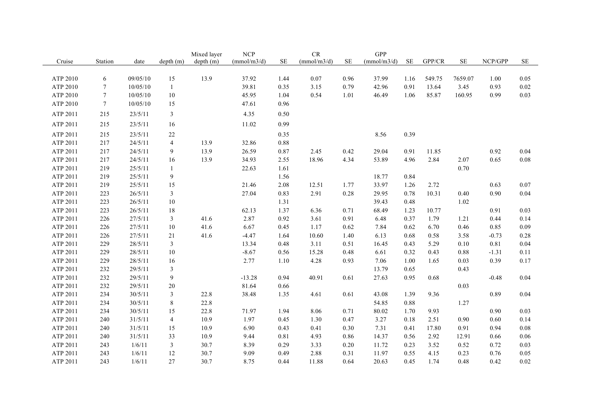|          |                 |          |                  | Mixed layer | <b>NCP</b>  |           | ${\cal CR}$ |           | GPP         |           |        |           |         |          |
|----------|-----------------|----------|------------------|-------------|-------------|-----------|-------------|-----------|-------------|-----------|--------|-----------|---------|----------|
| Cruise   | Station         | date     | depth(m)         | depth (m)   | (mmol/m3/d) | <b>SE</b> | (mmol/m3/d) | <b>SE</b> | (mmol/m3/d) | <b>SE</b> | GPP/CR | <b>SE</b> | NCP/GPP | $\rm SE$ |
|          |                 |          |                  |             |             |           |             |           |             |           |        |           |         |          |
| ATP 2010 | 6               | 09/05/10 | 15               | 13.9        | 37.92       | 1.44      | 0.07        | 0.96      | 37.99       | 1.16      | 549.75 | 7659.07   | 1.00    | 0.05     |
| ATP 2010 | $\tau$          | 10/05/10 | $\mathbf{1}$     |             | 39.81       | 0.35      | 3.15        | 0.79      | 42.96       | 0.91      | 13.64  | 3.45      | 0.93    | $0.02\,$ |
| ATP 2010 | $7\phantom{.0}$ | 10/05/10 | $10\,$           |             | 45.95       | 1.04      | 0.54        | 1.01      | 46.49       | 1.06      | 85.87  | 160.95    | 0.99    | 0.03     |
| ATP 2010 | $\tau$          | 10/05/10 | 15               |             | 47.61       | 0.96      |             |           |             |           |        |           |         |          |
| ATP 2011 | 215             | 23/5/11  | $\mathfrak{Z}$   |             | 4.35        | 0.50      |             |           |             |           |        |           |         |          |
| ATP 2011 | 215             | 23/5/11  | 16               |             | 11.02       | 0.99      |             |           |             |           |        |           |         |          |
| ATP 2011 | 215             | 23/5/11  | 22               |             |             | 0.35      |             |           | 8.56        | 0.39      |        |           |         |          |
| ATP 2011 | 217             | 24/5/11  | $\overline{4}$   | 13.9        | 32.86       | 0.88      |             |           |             |           |        |           |         |          |
| ATP 2011 | 217             | 24/5/11  | $\mathbf{9}$     | 13.9        | 26.59       | 0.87      | 2.45        | 0.42      | 29.04       | 0.91      | 11.85  |           | 0.92    | 0.04     |
| ATP 2011 | 217             | 24/5/11  | 16               | 13.9        | 34.93       | 2.55      | 18.96       | 4.34      | 53.89       | 4.96      | 2.84   | 2.07      | 0.65    | $0.08\,$ |
| ATP 2011 | 219             | 25/5/11  | $\mathbf{1}$     |             | 22.63       | 1.61      |             |           |             |           |        | 0.70      |         |          |
| ATP 2011 | 219             | 25/5/11  | $\mathbf{9}$     |             |             | 1.56      |             |           | 18.77       | 0.84      |        |           |         |          |
| ATP 2011 | 219             | 25/5/11  | 15               |             | 21.46       | 2.08      | 12.51       | 1.77      | 33.97       | 1.26      | 2.72   |           | 0.63    | 0.07     |
| ATP 2011 | 223             | 26/5/11  | $\mathfrak{Z}$   |             | 27.04       | 0.83      | 2.91        | 0.28      | 29.95       | 0.78      | 10.31  | 0.40      | 0.90    | 0.04     |
| ATP 2011 | 223             | 26/5/11  | 10               |             |             | 1.31      |             |           | 39.43       | 0.48      |        | 1.02      |         |          |
| ATP 2011 | 223             | 26/5/11  | 18               |             | 62.13       | 1.37      | 6.36        | 0.71      | 68.49       | 1.23      | 10.77  |           | 0.91    | 0.03     |
| ATP 2011 | 226             | 27/5/11  | $\mathfrak{Z}$   | 41.6        | 2.87        | 0.92      | 3.61        | 0.91      | 6.48        | 0.37      | 1.79   | 1.21      | 0.44    | 0.14     |
| ATP 2011 | 226             | 27/5/11  | 10               | 41.6        | 6.67        | 0.45      | 1.17        | 0.62      | 7.84        | 0.62      | 6.70   | 0.46      | 0.85    | 0.09     |
| ATP 2011 | 226             | 27/5/11  | 21               | 41.6        | $-4.47$     | 1.64      | 10.60       | 1.40      | 6.13        | 0.68      | 0.58   | 3.58      | $-0.73$ | 0.28     |
| ATP 2011 | 229             | 28/5/11  | $\overline{3}$   |             | 13.34       | 0.48      | 3.11        | 0.51      | 16.45       | 0.43      | 5.29   | 0.10      | 0.81    | 0.04     |
| ATP 2011 | 229             | 28/5/11  | $10\,$           |             | $-8.67$     | 0.56      | 15.28       | 0.48      | 6.61        | 0.32      | 0.43   | 0.88      | $-1.31$ | 0.11     |
| ATP 2011 | 229             | 28/5/11  | 16               |             | 2.77        | 1.10      | 4.28        | 0.93      | 7.06        | 1.00      | 1.65   | 0.03      | 0.39    | 0.17     |
| ATP 2011 | 232             | 29/5/11  | $\overline{3}$   |             |             |           |             |           | 13.79       | 0.65      |        | 0.43      |         |          |
| ATP 2011 | 232             | 29/5/11  | $\boldsymbol{9}$ |             | $-13.28$    | 0.94      | 40.91       | 0.61      | 27.63       | 0.95      | 0.68   |           | $-0.48$ | 0.04     |
| ATP 2011 | 232             | 29/5/11  | 20               |             | 81.64       | 0.66      |             |           |             |           |        | 0.03      |         |          |
| ATP 2011 | 234             | 30/5/11  | $\mathfrak{Z}$   | 22.8        | 38.48       | 1.35      | 4.61        | 0.61      | 43.08       | 1.39      | 9.36   |           | 0.89    | 0.04     |
| ATP 2011 | 234             | 30/5/11  | $8\,$            | 22.8        |             |           |             |           | 54.85       | 0.88      |        | 1.27      |         |          |
| ATP 2011 | 234             | 30/5/11  | 15               | 22.8        | 71.97       | 1.94      | 8.06        | 0.71      | 80.02       | 1.70      | 9.93   |           | 0.90    | 0.03     |
| ATP 2011 | 240             | 31/5/11  | $\overline{4}$   | 10.9        | 1.97        | 0.45      | 1.30        | 0.47      | 3.27        | 0.18      | 2.51   | 0.90      | 0.60    | 0.14     |
| ATP 2011 | 240             | 31/5/11  | 15               | 10.9        | 6.90        | 0.43      | 0.41        | 0.30      | 7.31        | 0.41      | 17.80  | 0.91      | 0.94    | 0.08     |
| ATP 2011 | 240             | 31/5/11  | 33               | 10.9        | 9.44        | 0.81      | 4.93        | 0.86      | 14.37       | 0.56      | 2.92   | 12.91     | 0.66    | 0.06     |
| ATP 2011 | 243             | 1/6/11   | $\overline{3}$   | 30.7        | 8.39        | 0.29      | 3.33        | 0.20      | 11.72       | 0.23      | 3.52   | 0.52      | 0.72    | 0.03     |
| ATP 2011 | 243             | 1/6/11   | 12               | 30.7        | 9.09        | 0.49      | 2.88        | 0.31      | 11.97       | 0.55      | 4.15   | 0.23      | 0.76    | 0.05     |
| ATP 2011 | 243             | 1/6/11   | 27               | 30.7        | 8.75        | 0.44      | 11.88       | 0.64      | 20.63       | 0.45      | 1.74   | 0.48      | 0.42    | 0.02     |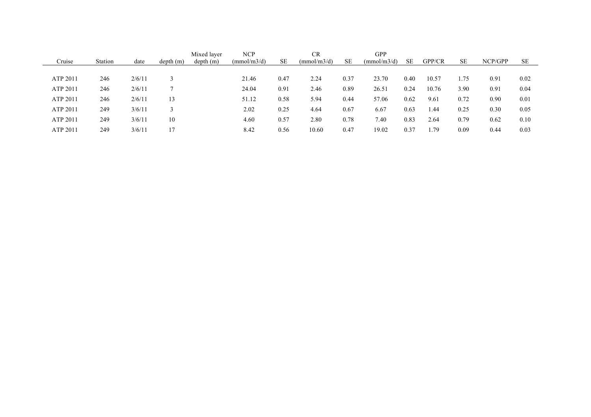|          |         |        |          | Mixed layer | <b>NCP</b>  |      | CR          |      | <b>GPP</b>  |      |        |           |         |      |
|----------|---------|--------|----------|-------------|-------------|------|-------------|------|-------------|------|--------|-----------|---------|------|
| Cruise   | Station | date   | depth(m) | depth(m)    | (mmol/m3/d) | SE   | (mmol/m3/d) | SE   | (mmol/m3/d) | SE.  | GPP/CR | <b>SE</b> | NCP/GPP | SE   |
|          |         |        |          |             |             |      |             |      |             |      |        |           |         |      |
| ATP 2011 | 246     | 2/6/11 |          |             | 21.46       | 0.47 | 2.24        | 0.37 | 23.70       | 0.40 | 10.57  | 75        | 0.91    | 0.02 |
| ATP 2011 | 246     | 2/6/11 |          |             | 24.04       | 0.91 | 2.46        | 0.89 | 26.51       | 0.24 | 10.76  | 3.90      | 0.91    | 0.04 |
| ATP 2011 | 246     | 2/6/11 | 13       |             | 51.12       | 0.58 | 5.94        | 0.44 | 57.06       | 0.62 | 9.61   | 0.72      | 0.90    | 0.01 |
| ATP 2011 | 249     | 3/6/11 |          |             | 2.02        | 0.25 | 4.64        | 0.67 | 6.67        | 0.63 | 44. ،  | 0.25      | 0.30    | 0.05 |
| ATP 2011 | 249     | 3/6/11 | 10       |             | 4.60        | 0.57 | 2.80        | 0.78 | 7.40        | 0.83 | 2.64   | 0.79      | 0.62    | 0.10 |
| ATP 2011 | 249     | 3/6/11 | 17       |             | 8.42        | 0.56 | 10.60       | 0.47 | 19.02       | 0.37 | .79    | 0.09      | 0.44    | 0.03 |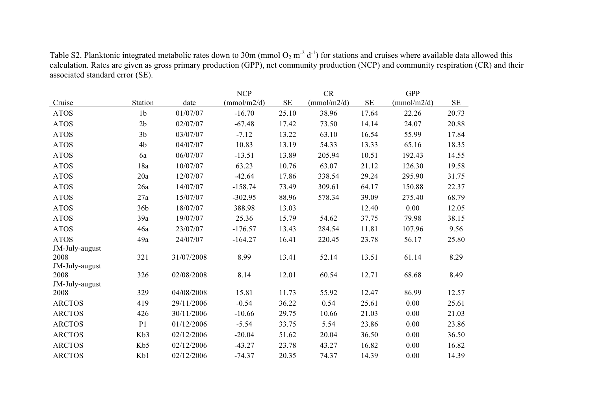|                        |                |            | <b>NCP</b>  |          | CR          |       | <b>GPP</b>  |       |
|------------------------|----------------|------------|-------------|----------|-------------|-------|-------------|-------|
| Cruise                 | Station        | date       | (mmol/m2/d) | $\rm SE$ | (mmol/m2/d) | SE    | (mmol/m2/d) | SE    |
| <b>ATOS</b>            | 1 <sub>b</sub> | 01/07/07   | $-16.70$    | 25.10    | 38.96       | 17.64 | 22.26       | 20.73 |
| <b>ATOS</b>            | 2 <sub>b</sub> | 02/07/07   | $-67.48$    | 17.42    | 73.50       | 14.14 | 24.07       | 20.88 |
| <b>ATOS</b>            | 3 <sub>b</sub> | 03/07/07   | $-7.12$     | 13.22    | 63.10       | 16.54 | 55.99       | 17.84 |
| <b>ATOS</b>            | 4b             | 04/07/07   | 10.83       | 13.19    | 54.33       | 13.33 | 65.16       | 18.35 |
| <b>ATOS</b>            | 6a             | 06/07/07   | $-13.51$    | 13.89    | 205.94      | 10.51 | 192.43      | 14.55 |
| <b>ATOS</b>            | 18a            | 10/07/07   | 63.23       | 10.76    | 63.07       | 21.12 | 126.30      | 19.58 |
| <b>ATOS</b>            | 20a            | 12/07/07   | $-42.64$    | 17.86    | 338.54      | 29.24 | 295.90      | 31.75 |
| <b>ATOS</b>            | 26a            | 14/07/07   | $-158.74$   | 73.49    | 309.61      | 64.17 | 150.88      | 22.37 |
| <b>ATOS</b>            | 27a            | 15/07/07   | $-302.95$   | 88.96    | 578.34      | 39.09 | 275.40      | 68.79 |
| <b>ATOS</b>            | 36b            | 18/07/07   | 388.98      | 13.03    |             | 12.40 | 0.00        | 12.05 |
| <b>ATOS</b>            | 39a            | 19/07/07   | 25.36       | 15.79    | 54.62       | 37.75 | 79.98       | 38.15 |
| <b>ATOS</b>            | 46a            | 23/07/07   | $-176.57$   | 13.43    | 284.54      | 11.81 | 107.96      | 9.56  |
| <b>ATOS</b>            | 49a            | 24/07/07   | $-164.27$   | 16.41    | 220.45      | 23.78 | 56.17       | 25.80 |
| JM-July-august         |                |            |             |          |             |       |             |       |
| 2008                   | 321            | 31/07/2008 | 8.99        | 13.41    | 52.14       | 13.51 | 61.14       | 8.29  |
| JM-July-august<br>2008 | 326            | 02/08/2008 | 8.14        | 12.01    | 60.54       | 12.71 | 68.68       | 8.49  |
| JM-July-august         |                |            |             |          |             |       |             |       |
| 2008                   | 329            | 04/08/2008 | 15.81       | 11.73    | 55.92       | 12.47 | 86.99       | 12.57 |
| <b>ARCTOS</b>          | 419            | 29/11/2006 | $-0.54$     | 36.22    | 0.54        | 25.61 | 0.00        | 25.61 |
| <b>ARCTOS</b>          | 426            | 30/11/2006 | $-10.66$    | 29.75    | 10.66       | 21.03 | 0.00        | 21.03 |
| <b>ARCTOS</b>          | P <sub>1</sub> | 01/12/2006 | $-5.54$     | 33.75    | 5.54        | 23.86 | 0.00        | 23.86 |
| <b>ARCTOS</b>          | Kb3            | 02/12/2006 | $-20.04$    | 51.62    | 20.04       | 36.50 | 0.00        | 36.50 |
| <b>ARCTOS</b>          | Kb5            | 02/12/2006 | $-43.27$    | 23.78    | 43.27       | 16.82 | 0.00        | 16.82 |
| <b>ARCTOS</b>          | Kb1            | 02/12/2006 | $-74.37$    | 20.35    | 74.37       | 14.39 | 0.00        | 14.39 |

Table S2. Planktonic integrated metabolic rates down to 30m (mmol  $O_2$  m<sup>-2</sup> d<sup>-1</sup>) for stations and cruises where available data allowed this calculation. Rates are given as gross primary production (GPP), net community production (NCP) and community respiration (CR) and their associated standard error (SE).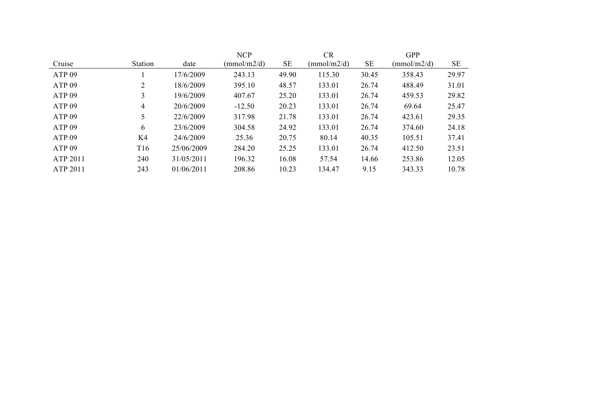|                   |                |            | <b>NCP</b>  |       | CR          |           | <b>GPP</b>  |           |
|-------------------|----------------|------------|-------------|-------|-------------|-----------|-------------|-----------|
| Cruise            | <b>Station</b> | date       | (mmol/m2/d) | SE    | (mmol/m2/d) | <b>SE</b> | (mmol/m2/d) | <b>SE</b> |
| ATP <sub>09</sub> |                | 17/6/2009  | 243.13      | 49.90 | 115.30      | 30.45     | 358.43      | 29.97     |
| ATP <sub>09</sub> | 2              | 18/6/2009  | 395.10      | 48.57 | 133.01      | 26.74     | 488.49      | 31.01     |
| ATP <sub>09</sub> | 3              | 19/6/2009  | 407.67      | 25.20 | 133.01      | 26.74     | 459.53      | 29.82     |
| ATP <sub>09</sub> | $\overline{4}$ | 20/6/2009  | $-12.50$    | 20.23 | 133.01      | 26.74     | 69.64       | 25.47     |
| ATP <sub>09</sub> | 5              | 22/6/2009  | 317.98      | 21.78 | 133.01      | 26.74     | 423.61      | 29.35     |
| ATP <sub>09</sub> | 6              | 23/6/2009  | 304.58      | 24.92 | 133.01      | 26.74     | 374.60      | 24.18     |
| ATP <sub>09</sub> | K4             | 24/6/2009  | 25.36       | 20.75 | 80.14       | 40.35     | 105.51      | 37.41     |
| ATP <sub>09</sub> | T16            | 25/06/2009 | 284.20      | 25.25 | 133.01      | 26.74     | 412.50      | 23.51     |
| ATP 2011          | 240            | 31/05/2011 | 196.32      | 16.08 | 57.54       | 14.66     | 253.86      | 12.05     |
| <b>ATP 2011</b>   | 243            | 01/06/2011 | 208.86      | 10.23 | 134.47      | 9.15      | 343.33      | 10.78     |